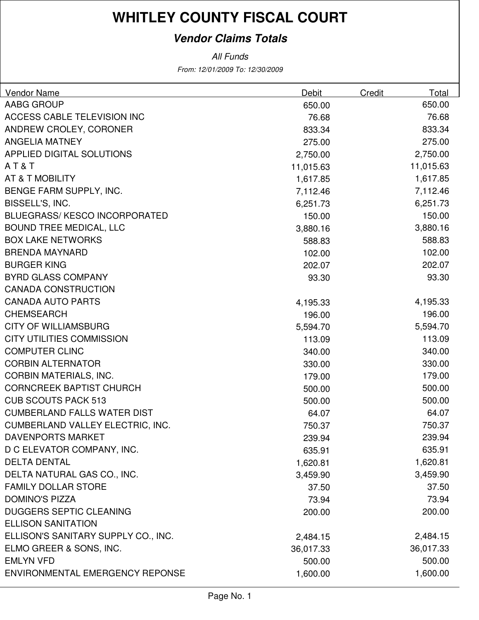### **Vendor Claims Totals**

| <b>Vendor Name</b>                  | <b>Debit</b> | Credit | Total     |
|-------------------------------------|--------------|--------|-----------|
| AABG GROUP                          | 650.00       |        | 650.00    |
| ACCESS CABLE TELEVISION INC         | 76.68        |        | 76.68     |
| ANDREW CROLEY, CORONER              | 833.34       |        | 833.34    |
| <b>ANGELIA MATNEY</b>               | 275.00       |        | 275.00    |
| APPLIED DIGITAL SOLUTIONS           | 2,750.00     |        | 2,750.00  |
| AT&T                                | 11,015.63    |        | 11,015.63 |
| AT & T MOBILITY                     | 1,617.85     |        | 1,617.85  |
| BENGE FARM SUPPLY, INC.             | 7,112.46     |        | 7,112.46  |
| BISSELL'S, INC.                     | 6,251.73     |        | 6,251.73  |
| <b>BLUEGRASS/KESCO INCORPORATED</b> | 150.00       |        | 150.00    |
| <b>BOUND TREE MEDICAL, LLC</b>      | 3,880.16     |        | 3,880.16  |
| <b>BOX LAKE NETWORKS</b>            | 588.83       |        | 588.83    |
| <b>BRENDA MAYNARD</b>               | 102.00       |        | 102.00    |
| <b>BURGER KING</b>                  | 202.07       |        | 202.07    |
| <b>BYRD GLASS COMPANY</b>           | 93.30        |        | 93.30     |
| <b>CANADA CONSTRUCTION</b>          |              |        |           |
| <b>CANADA AUTO PARTS</b>            | 4,195.33     |        | 4,195.33  |
| <b>CHEMSEARCH</b>                   | 196.00       |        | 196.00    |
| <b>CITY OF WILLIAMSBURG</b>         | 5,594.70     |        | 5,594.70  |
| <b>CITY UTILITIES COMMISSION</b>    | 113.09       |        | 113.09    |
| <b>COMPUTER CLINC</b>               | 340.00       |        | 340.00    |
| <b>CORBIN ALTERNATOR</b>            | 330.00       |        | 330.00    |
| <b>CORBIN MATERIALS, INC.</b>       | 179.00       |        | 179.00    |
| <b>CORNCREEK BAPTIST CHURCH</b>     | 500.00       |        | 500.00    |
| <b>CUB SCOUTS PACK 513</b>          | 500.00       |        | 500.00    |
| <b>CUMBERLAND FALLS WATER DIST</b>  | 64.07        |        | 64.07     |
| CUMBERLAND VALLEY ELECTRIC, INC.    | 750.37       |        | 750.37    |
| <b>DAVENPORTS MARKET</b>            | 239.94       |        | 239.94    |
| D C ELEVATOR COMPANY, INC.          | 635.91       |        | 635.91    |
| <b>DELTA DENTAL</b>                 | 1,620.81     |        | 1,620.81  |
| DELTA NATURAL GAS CO., INC.         | 3,459.90     |        | 3,459.90  |
| <b>FAMILY DOLLAR STORE</b>          | 37.50        |        | 37.50     |
| <b>DOMINO'S PIZZA</b>               | 73.94        |        | 73.94     |
| <b>DUGGERS SEPTIC CLEANING</b>      | 200.00       |        | 200.00    |
| <b>ELLISON SANITATION</b>           |              |        |           |
| ELLISON'S SANITARY SUPPLY CO., INC. | 2,484.15     |        | 2,484.15  |
| ELMO GREER & SONS, INC.             | 36,017.33    |        | 36,017.33 |
| <b>EMLYN VFD</b>                    | 500.00       |        | 500.00    |
| ENVIRONMENTAL EMERGENCY REPONSE     | 1,600.00     |        | 1,600.00  |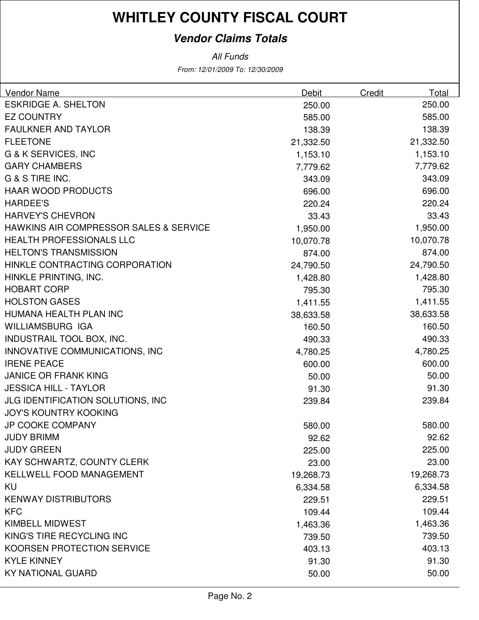### **Vendor Claims Totals**

| <b>Vendor Name</b>                                | Debit     | Credit | Total     |
|---------------------------------------------------|-----------|--------|-----------|
| <b>ESKRIDGE A. SHELTON</b>                        | 250.00    |        | 250.00    |
| <b>EZ COUNTRY</b>                                 | 585.00    |        | 585.00    |
| <b>FAULKNER AND TAYLOR</b>                        | 138.39    |        | 138.39    |
| <b>FLEETONE</b>                                   | 21,332.50 |        | 21,332.50 |
| G & K SERVICES, INC                               | 1,153.10  |        | 1,153.10  |
| <b>GARY CHAMBERS</b>                              | 7,779.62  |        | 7,779.62  |
| G & S TIRE INC.                                   | 343.09    |        | 343.09    |
| <b>HAAR WOOD PRODUCTS</b>                         | 696.00    |        | 696.00    |
| <b>HARDEE'S</b>                                   | 220.24    |        | 220.24    |
| <b>HARVEY'S CHEVRON</b>                           | 33.43     |        | 33.43     |
| <b>HAWKINS AIR COMPRESSOR SALES &amp; SERVICE</b> | 1,950.00  |        | 1,950.00  |
| <b>HEALTH PROFESSIONALS LLC</b>                   | 10,070.78 |        | 10,070.78 |
| <b>HELTON'S TRANSMISSION</b>                      | 874.00    |        | 874.00    |
| HINKLE CONTRACTING CORPORATION                    | 24,790.50 |        | 24,790.50 |
| HINKLE PRINTING, INC.                             | 1,428.80  |        | 1,428.80  |
| <b>HOBART CORP</b>                                | 795.30    |        | 795.30    |
| <b>HOLSTON GASES</b>                              | 1,411.55  |        | 1,411.55  |
| HUMANA HEALTH PLAN INC                            | 38,633.58 |        | 38,633.58 |
| <b>WILLIAMSBURG IGA</b>                           | 160.50    |        | 160.50    |
| INDUSTRAIL TOOL BOX, INC.                         | 490.33    |        | 490.33    |
| INNOVATIVE COMMUNICATIONS, INC                    | 4,780.25  |        | 4,780.25  |
| <b>IRENE PEACE</b>                                | 600.00    |        | 600.00    |
| <b>JANICE OR FRANK KING</b>                       | 50.00     |        | 50.00     |
| <b>JESSICA HILL - TAYLOR</b>                      | 91.30     |        | 91.30     |
| JLG IDENTIFICATION SOLUTIONS, INC                 | 239.84    |        | 239.84    |
| <b>JOY'S KOUNTRY KOOKING</b>                      |           |        |           |
| <b>JP COOKE COMPANY</b>                           | 580.00    |        | 580.00    |
| <b>JUDY BRIMM</b>                                 | 92.62     |        | 92.62     |
| <b>JUDY GREEN</b>                                 | 225.00    |        | 225.00    |
| KAY SCHWARTZ, COUNTY CLERK                        | 23.00     |        | 23.00     |
| <b>KELLWELL FOOD MANAGEMENT</b>                   | 19,268.73 |        | 19,268.73 |
| KU                                                | 6,334.58  |        | 6,334.58  |
| <b>KENWAY DISTRIBUTORS</b>                        | 229.51    |        | 229.51    |
| <b>KFC</b>                                        | 109.44    |        | 109.44    |
| <b>KIMBELL MIDWEST</b>                            | 1,463.36  |        | 1,463.36  |
| KING'S TIRE RECYCLING INC                         | 739.50    |        | 739.50    |
| KOORSEN PROTECTION SERVICE                        | 403.13    |        | 403.13    |
| <b>KYLE KINNEY</b>                                | 91.30     |        | 91.30     |
| <b>KY NATIONAL GUARD</b>                          | 50.00     |        | 50.00     |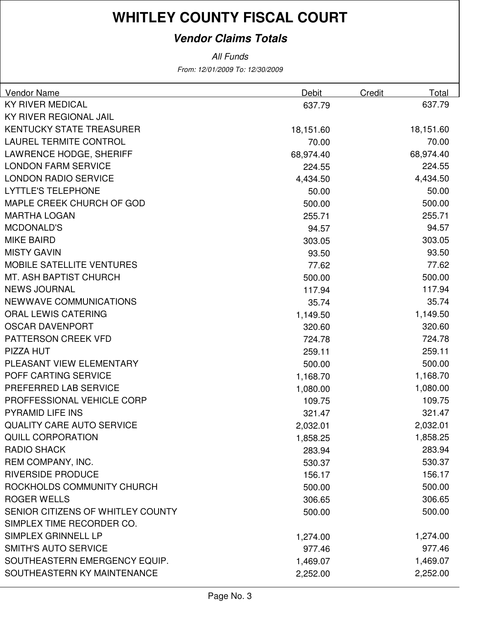### **Vendor Claims Totals**

| <b>Vendor Name</b>                | Debit     | Credit | Total     |
|-----------------------------------|-----------|--------|-----------|
| <b>KY RIVER MEDICAL</b>           | 637.79    |        | 637.79    |
| <b>KY RIVER REGIONAL JAIL</b>     |           |        |           |
| <b>KENTUCKY STATE TREASURER</b>   | 18,151.60 |        | 18,151.60 |
| <b>LAUREL TERMITE CONTROL</b>     | 70.00     |        | 70.00     |
| <b>LAWRENCE HODGE, SHERIFF</b>    | 68,974.40 |        | 68,974.40 |
| <b>LONDON FARM SERVICE</b>        | 224.55    |        | 224.55    |
| <b>LONDON RADIO SERVICE</b>       | 4,434.50  |        | 4,434.50  |
| <b>LYTTLE'S TELEPHONE</b>         | 50.00     |        | 50.00     |
| MAPLE CREEK CHURCH OF GOD         | 500.00    |        | 500.00    |
| <b>MARTHA LOGAN</b>               | 255.71    |        | 255.71    |
| <b>MCDONALD'S</b>                 | 94.57     |        | 94.57     |
| <b>MIKE BAIRD</b>                 | 303.05    |        | 303.05    |
| <b>MISTY GAVIN</b>                | 93.50     |        | 93.50     |
| <b>MOBILE SATELLITE VENTURES</b>  | 77.62     |        | 77.62     |
| <b>MT. ASH BAPTIST CHURCH</b>     | 500.00    |        | 500.00    |
| <b>NEWS JOURNAL</b>               | 117.94    |        | 117.94    |
| <b>NEWWAVE COMMUNICATIONS</b>     | 35.74     |        | 35.74     |
| <b>ORAL LEWIS CATERING</b>        | 1,149.50  |        | 1,149.50  |
| <b>OSCAR DAVENPORT</b>            | 320.60    |        | 320.60    |
| PATTERSON CREEK VFD               | 724.78    |        | 724.78    |
| PIZZA HUT                         | 259.11    |        | 259.11    |
| PLEASANT VIEW ELEMENTARY          | 500.00    |        | 500.00    |
| POFF CARTING SERVICE              | 1,168.70  |        | 1,168.70  |
| PREFERRED LAB SERVICE             | 1,080.00  |        | 1,080.00  |
| PROFFESSIONAL VEHICLE CORP        | 109.75    |        | 109.75    |
| PYRAMID LIFE INS                  | 321.47    |        | 321.47    |
| <b>QUALITY CARE AUTO SERVICE</b>  | 2,032.01  |        | 2,032.01  |
| <b>QUILL CORPORATION</b>          | 1,858.25  |        | 1,858.25  |
| <b>RADIO SHACK</b>                | 283.94    |        | 283.94    |
| REM COMPANY, INC.                 | 530.37    |        | 530.37    |
| <b>RIVERSIDE PRODUCE</b>          | 156.17    |        | 156.17    |
| ROCKHOLDS COMMUNITY CHURCH        | 500.00    |        | 500.00    |
| <b>ROGER WELLS</b>                | 306.65    |        | 306.65    |
| SENIOR CITIZENS OF WHITLEY COUNTY | 500.00    |        | 500.00    |
| SIMPLEX TIME RECORDER CO.         |           |        |           |
| SIMPLEX GRINNELL LP               | 1,274.00  |        | 1,274.00  |
| <b>SMITH'S AUTO SERVICE</b>       | 977.46    |        | 977.46    |
| SOUTHEASTERN EMERGENCY EQUIP.     | 1,469.07  |        | 1,469.07  |
| SOUTHEASTERN KY MAINTENANCE       | 2,252.00  |        | 2,252.00  |